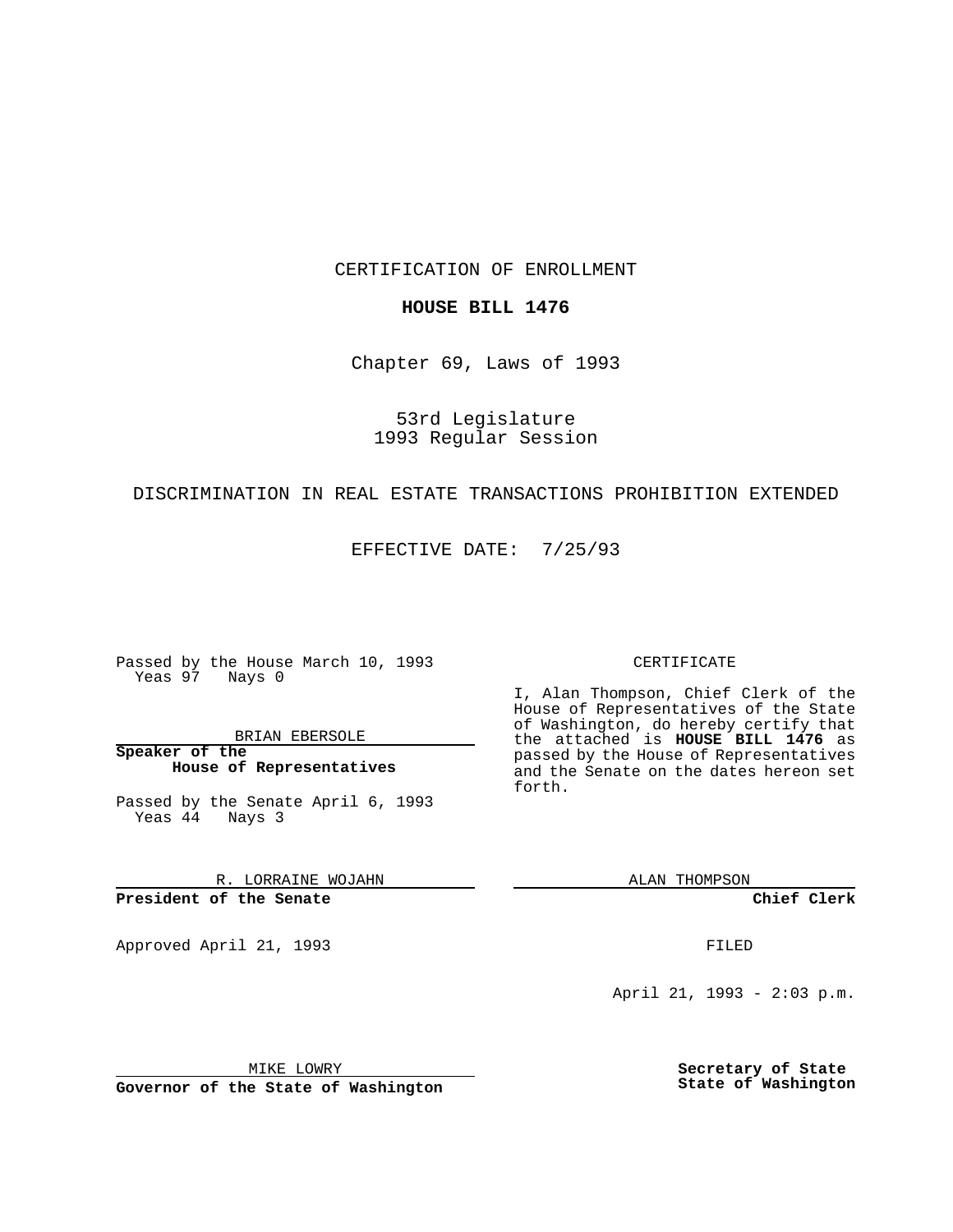CERTIFICATION OF ENROLLMENT

## **HOUSE BILL 1476**

Chapter 69, Laws of 1993

53rd Legislature 1993 Regular Session

## DISCRIMINATION IN REAL ESTATE TRANSACTIONS PROHIBITION EXTENDED

EFFECTIVE DATE: 7/25/93

Passed by the House March 10, 1993 Yeas 97 Nays 0

BRIAN EBERSOLE

**Speaker of the House of Representatives**

Passed by the Senate April 6, 1993 Yeas 44 Nays 3

R. LORRAINE WOJAHN

**President of the Senate**

Approved April 21, 1993 **FILED** 

#### CERTIFICATE

I, Alan Thompson, Chief Clerk of the House of Representatives of the State of Washington, do hereby certify that the attached is **HOUSE BILL 1476** as passed by the House of Representatives and the Senate on the dates hereon set forth.

ALAN THOMPSON

**Chief Clerk**

April 21, 1993 - 2:03 p.m.

MIKE LOWRY

**Governor of the State of Washington**

**Secretary of State State of Washington**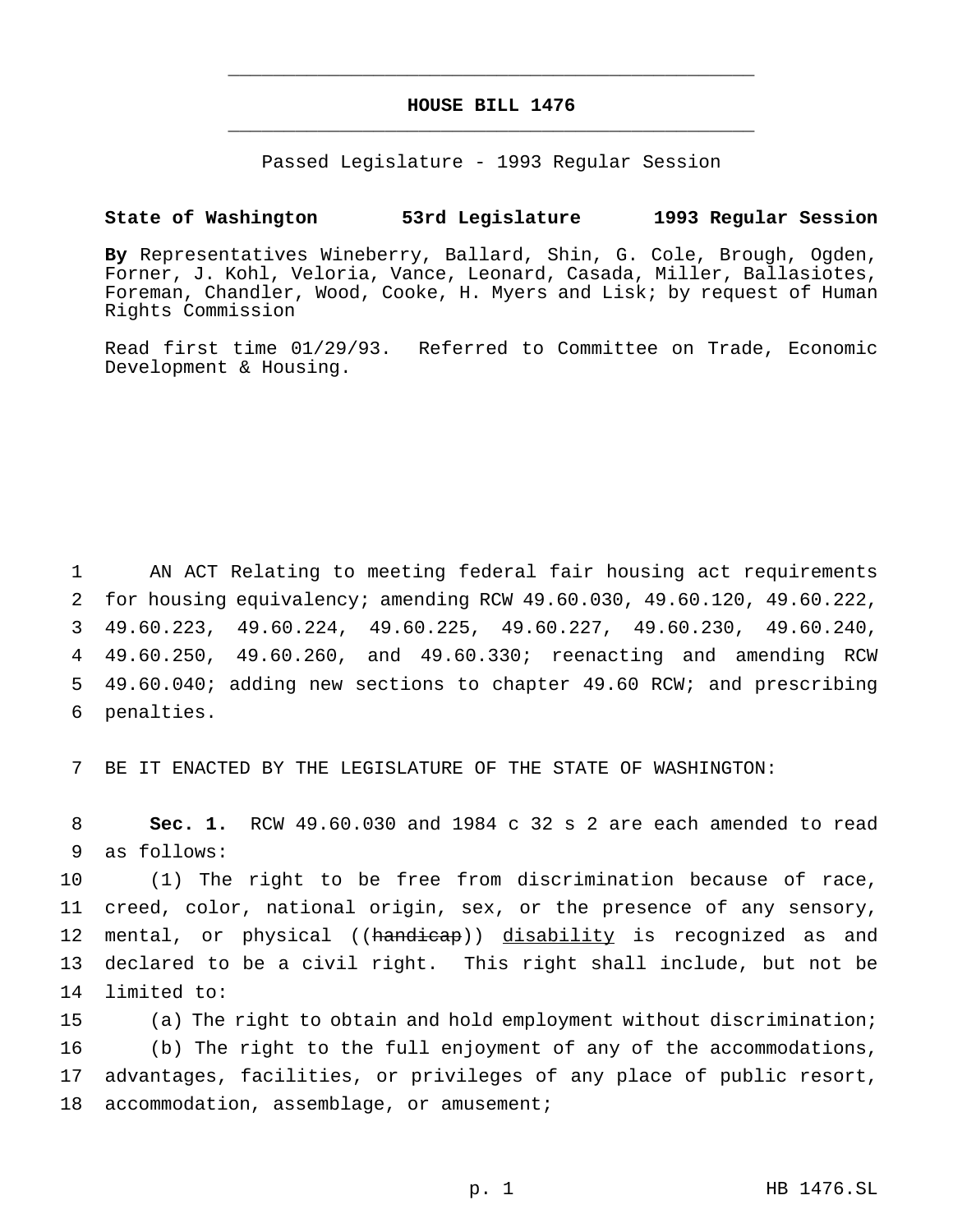# **HOUSE BILL 1476** \_\_\_\_\_\_\_\_\_\_\_\_\_\_\_\_\_\_\_\_\_\_\_\_\_\_\_\_\_\_\_\_\_\_\_\_\_\_\_\_\_\_\_\_\_\_\_

\_\_\_\_\_\_\_\_\_\_\_\_\_\_\_\_\_\_\_\_\_\_\_\_\_\_\_\_\_\_\_\_\_\_\_\_\_\_\_\_\_\_\_\_\_\_\_

Passed Legislature - 1993 Regular Session

### **State of Washington 53rd Legislature 1993 Regular Session**

**By** Representatives Wineberry, Ballard, Shin, G. Cole, Brough, Ogden, Forner, J. Kohl, Veloria, Vance, Leonard, Casada, Miller, Ballasiotes, Foreman, Chandler, Wood, Cooke, H. Myers and Lisk; by request of Human Rights Commission

Read first time 01/29/93. Referred to Committee on Trade, Economic Development & Housing.

 AN ACT Relating to meeting federal fair housing act requirements for housing equivalency; amending RCW 49.60.030, 49.60.120, 49.60.222, 49.60.223, 49.60.224, 49.60.225, 49.60.227, 49.60.230, 49.60.240, 49.60.250, 49.60.260, and 49.60.330; reenacting and amending RCW 49.60.040; adding new sections to chapter 49.60 RCW; and prescribing penalties.

7 BE IT ENACTED BY THE LEGISLATURE OF THE STATE OF WASHINGTON:

8 **Sec. 1.** RCW 49.60.030 and 1984 c 32 s 2 are each amended to read 9 as follows:

 (1) The right to be free from discrimination because of race, creed, color, national origin, sex, or the presence of any sensory, 12 mental, or physical ((handicap)) disability is recognized as and declared to be a civil right. This right shall include, but not be limited to:

 (a) The right to obtain and hold employment without discrimination; (b) The right to the full enjoyment of any of the accommodations, advantages, facilities, or privileges of any place of public resort, 18 accommodation, assemblage, or amusement;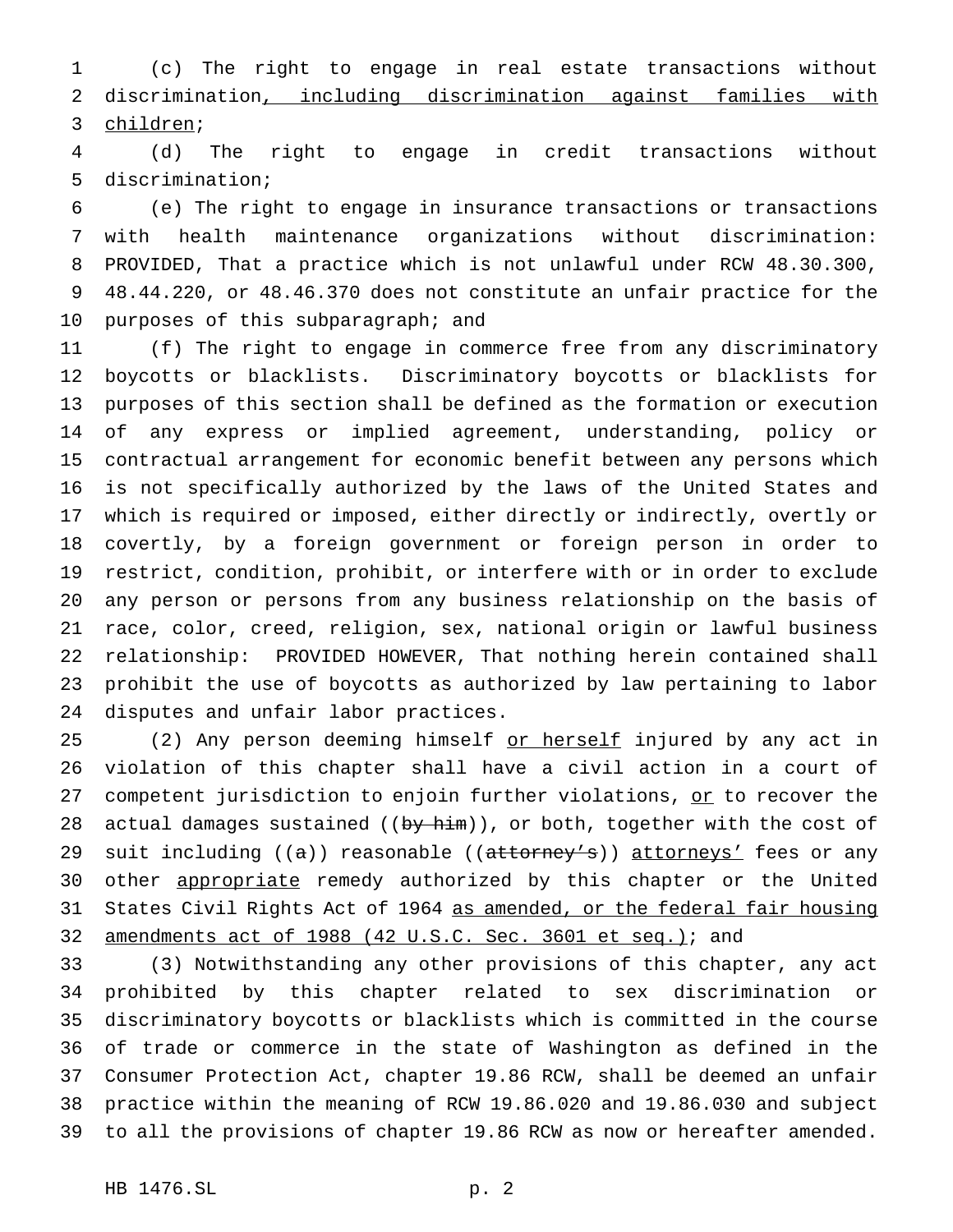(c) The right to engage in real estate transactions without discrimination, including discrimination against families with children;

 (d) The right to engage in credit transactions without discrimination;

 (e) The right to engage in insurance transactions or transactions with health maintenance organizations without discrimination: PROVIDED, That a practice which is not unlawful under RCW 48.30.300, 48.44.220, or 48.46.370 does not constitute an unfair practice for the purposes of this subparagraph; and

 (f) The right to engage in commerce free from any discriminatory boycotts or blacklists. Discriminatory boycotts or blacklists for purposes of this section shall be defined as the formation or execution of any express or implied agreement, understanding, policy or contractual arrangement for economic benefit between any persons which is not specifically authorized by the laws of the United States and which is required or imposed, either directly or indirectly, overtly or covertly, by a foreign government or foreign person in order to restrict, condition, prohibit, or interfere with or in order to exclude any person or persons from any business relationship on the basis of race, color, creed, religion, sex, national origin or lawful business relationship: PROVIDED HOWEVER, That nothing herein contained shall prohibit the use of boycotts as authorized by law pertaining to labor disputes and unfair labor practices.

25 (2) Any person deeming himself or herself injured by any act in violation of this chapter shall have a civil action in a court of 27 competent jurisdiction to enjoin further violations, or to recover the 28 actual damages sustained ((by him)), or both, together with the cost of 29 suit including ((a)) reasonable ((attorney's)) attorneys' fees or any 30 other appropriate remedy authorized by this chapter or the United 31 States Civil Rights Act of 1964 as amended, or the federal fair housing 32 amendments act of 1988 (42 U.S.C. Sec. 3601 et seq.); and

 (3) Notwithstanding any other provisions of this chapter, any act prohibited by this chapter related to sex discrimination or discriminatory boycotts or blacklists which is committed in the course of trade or commerce in the state of Washington as defined in the Consumer Protection Act, chapter 19.86 RCW, shall be deemed an unfair practice within the meaning of RCW 19.86.020 and 19.86.030 and subject to all the provisions of chapter 19.86 RCW as now or hereafter amended.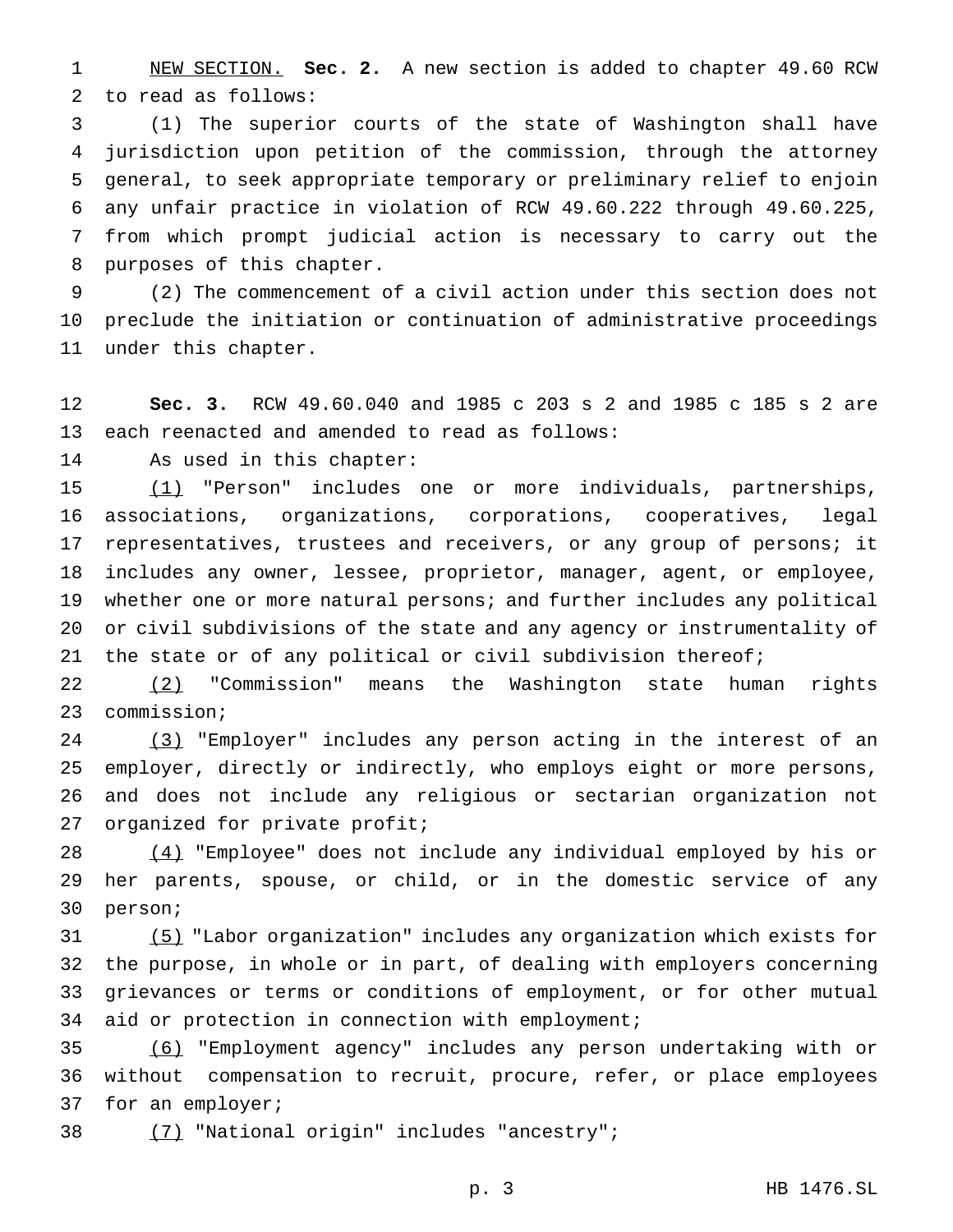NEW SECTION. **Sec. 2.** A new section is added to chapter 49.60 RCW to read as follows:

 (1) The superior courts of the state of Washington shall have jurisdiction upon petition of the commission, through the attorney general, to seek appropriate temporary or preliminary relief to enjoin any unfair practice in violation of RCW 49.60.222 through 49.60.225, from which prompt judicial action is necessary to carry out the purposes of this chapter.

 (2) The commencement of a civil action under this section does not preclude the initiation or continuation of administrative proceedings under this chapter.

 **Sec. 3.** RCW 49.60.040 and 1985 c 203 s 2 and 1985 c 185 s 2 are each reenacted and amended to read as follows:

As used in this chapter:

 (1) "Person" includes one or more individuals, partnerships, associations, organizations, corporations, cooperatives, legal representatives, trustees and receivers, or any group of persons; it includes any owner, lessee, proprietor, manager, agent, or employee, whether one or more natural persons; and further includes any political or civil subdivisions of the state and any agency or instrumentality of the state or of any political or civil subdivision thereof;

 (2) "Commission" means the Washington state human rights commission;

 (3) "Employer" includes any person acting in the interest of an employer, directly or indirectly, who employs eight or more persons, and does not include any religious or sectarian organization not organized for private profit;

 (4) "Employee" does not include any individual employed by his or her parents, spouse, or child, or in the domestic service of any person;

 (5) "Labor organization" includes any organization which exists for the purpose, in whole or in part, of dealing with employers concerning grievances or terms or conditions of employment, or for other mutual aid or protection in connection with employment;

 (6) "Employment agency" includes any person undertaking with or without compensation to recruit, procure, refer, or place employees 37 for an employer;

(7) "National origin" includes "ancestry";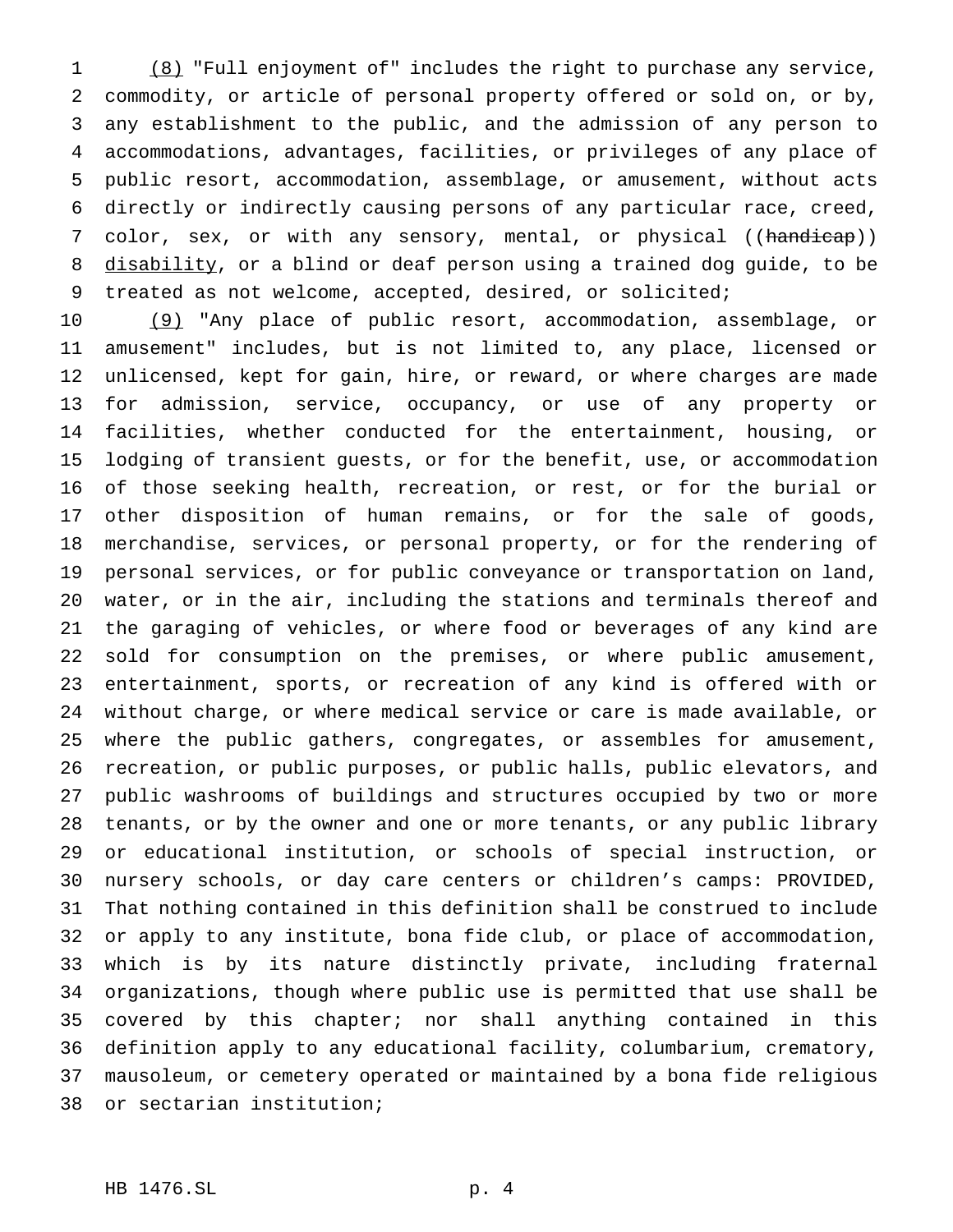(8) "Full enjoyment of" includes the right to purchase any service, commodity, or article of personal property offered or sold on, or by, any establishment to the public, and the admission of any person to accommodations, advantages, facilities, or privileges of any place of public resort, accommodation, assemblage, or amusement, without acts directly or indirectly causing persons of any particular race, creed, 7 color, sex, or with any sensory, mental, or physical ((handicap)) 8 disability, or a blind or deaf person using a trained dog guide, to be treated as not welcome, accepted, desired, or solicited;

 (9) "Any place of public resort, accommodation, assemblage, or amusement" includes, but is not limited to, any place, licensed or unlicensed, kept for gain, hire, or reward, or where charges are made for admission, service, occupancy, or use of any property or facilities, whether conducted for the entertainment, housing, or lodging of transient guests, or for the benefit, use, or accommodation of those seeking health, recreation, or rest, or for the burial or other disposition of human remains, or for the sale of goods, merchandise, services, or personal property, or for the rendering of personal services, or for public conveyance or transportation on land, water, or in the air, including the stations and terminals thereof and the garaging of vehicles, or where food or beverages of any kind are sold for consumption on the premises, or where public amusement, entertainment, sports, or recreation of any kind is offered with or without charge, or where medical service or care is made available, or where the public gathers, congregates, or assembles for amusement, recreation, or public purposes, or public halls, public elevators, and public washrooms of buildings and structures occupied by two or more tenants, or by the owner and one or more tenants, or any public library or educational institution, or schools of special instruction, or nursery schools, or day care centers or children's camps: PROVIDED, That nothing contained in this definition shall be construed to include or apply to any institute, bona fide club, or place of accommodation, which is by its nature distinctly private, including fraternal organizations, though where public use is permitted that use shall be covered by this chapter; nor shall anything contained in this definition apply to any educational facility, columbarium, crematory, mausoleum, or cemetery operated or maintained by a bona fide religious or sectarian institution;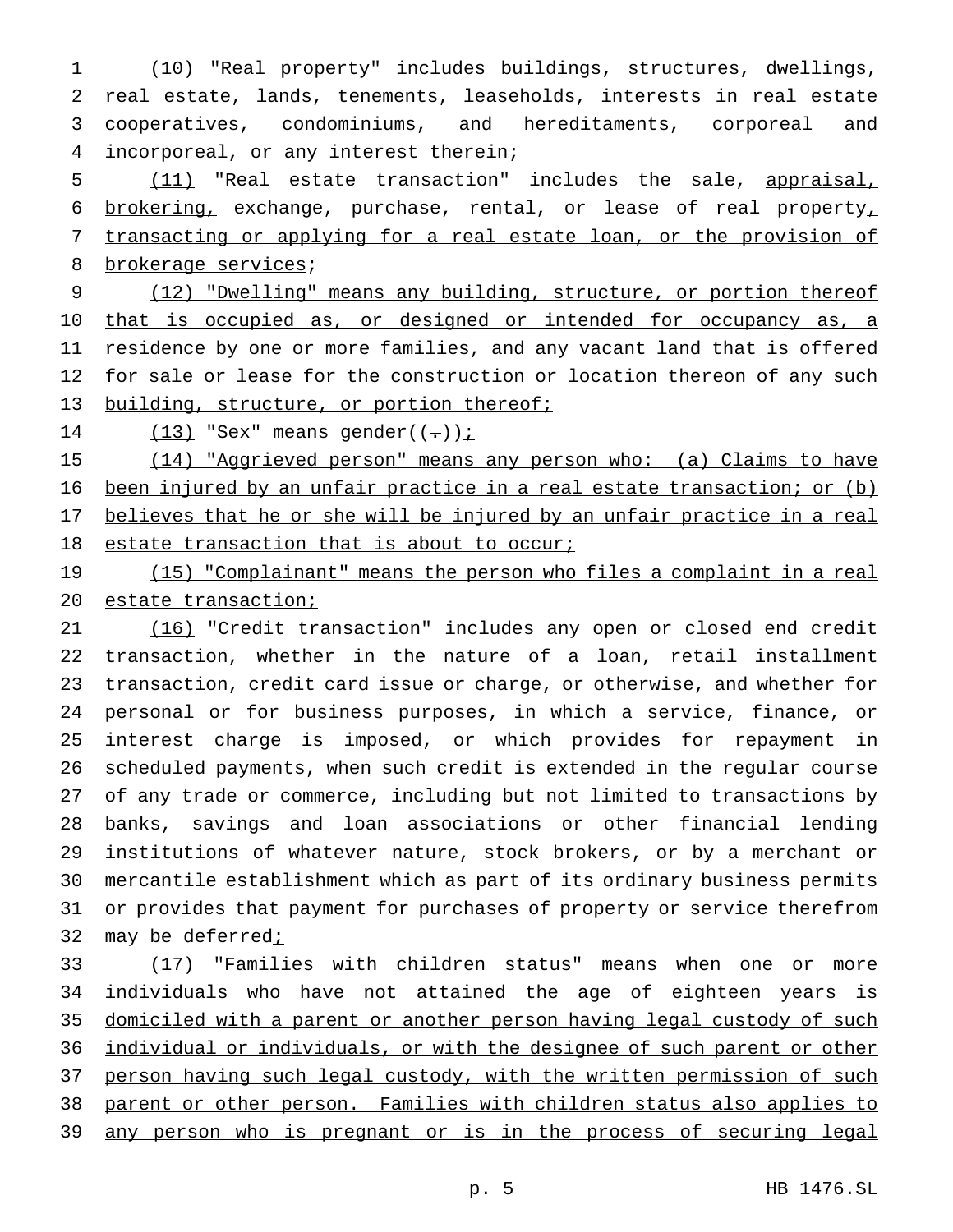(10) "Real property" includes buildings, structures, dwellings, real estate, lands, tenements, leaseholds, interests in real estate cooperatives, condominiums, and hereditaments, corporeal and incorporeal, or any interest therein;

 (11) "Real estate transaction" includes the sale, appraisal, 6 brokering, exchange, purchase, rental, or lease of real property, transacting or applying for a real estate loan, or the provision of 8 brokerage services;

9 (12) "Dwelling" means any building, structure, or portion thereof 10 that is occupied as, or designed or intended for occupancy as, a 11 residence by one or more families, and any vacant land that is offered 12 for sale or lease for the construction or location thereon of any such 13 building, structure, or portion thereof;

14  $(13)$  "Sex" means gender((-));

 (14) "Aggrieved person" means any person who: (a) Claims to have been injured by an unfair practice in a real estate transaction; or (b) believes that he or she will be injured by an unfair practice in a real 18 estate transaction that is about to occur;

19 (15) "Complainant" means the person who files a complaint in a real estate transaction;

 (16) "Credit transaction" includes any open or closed end credit transaction, whether in the nature of a loan, retail installment transaction, credit card issue or charge, or otherwise, and whether for personal or for business purposes, in which a service, finance, or interest charge is imposed, or which provides for repayment in scheduled payments, when such credit is extended in the regular course of any trade or commerce, including but not limited to transactions by banks, savings and loan associations or other financial lending institutions of whatever nature, stock brokers, or by a merchant or mercantile establishment which as part of its ordinary business permits or provides that payment for purchases of property or service therefrom 32 may be deferred<sub>i</sub>

 (17) "Families with children status" means when one or more 34 individuals who have not attained the age of eighteen years is domiciled with a parent or another person having legal custody of such individual or individuals, or with the designee of such parent or other 37 person having such legal custody, with the written permission of such parent or other person. Families with children status also applies to 39 any person who is pregnant or is in the process of securing legal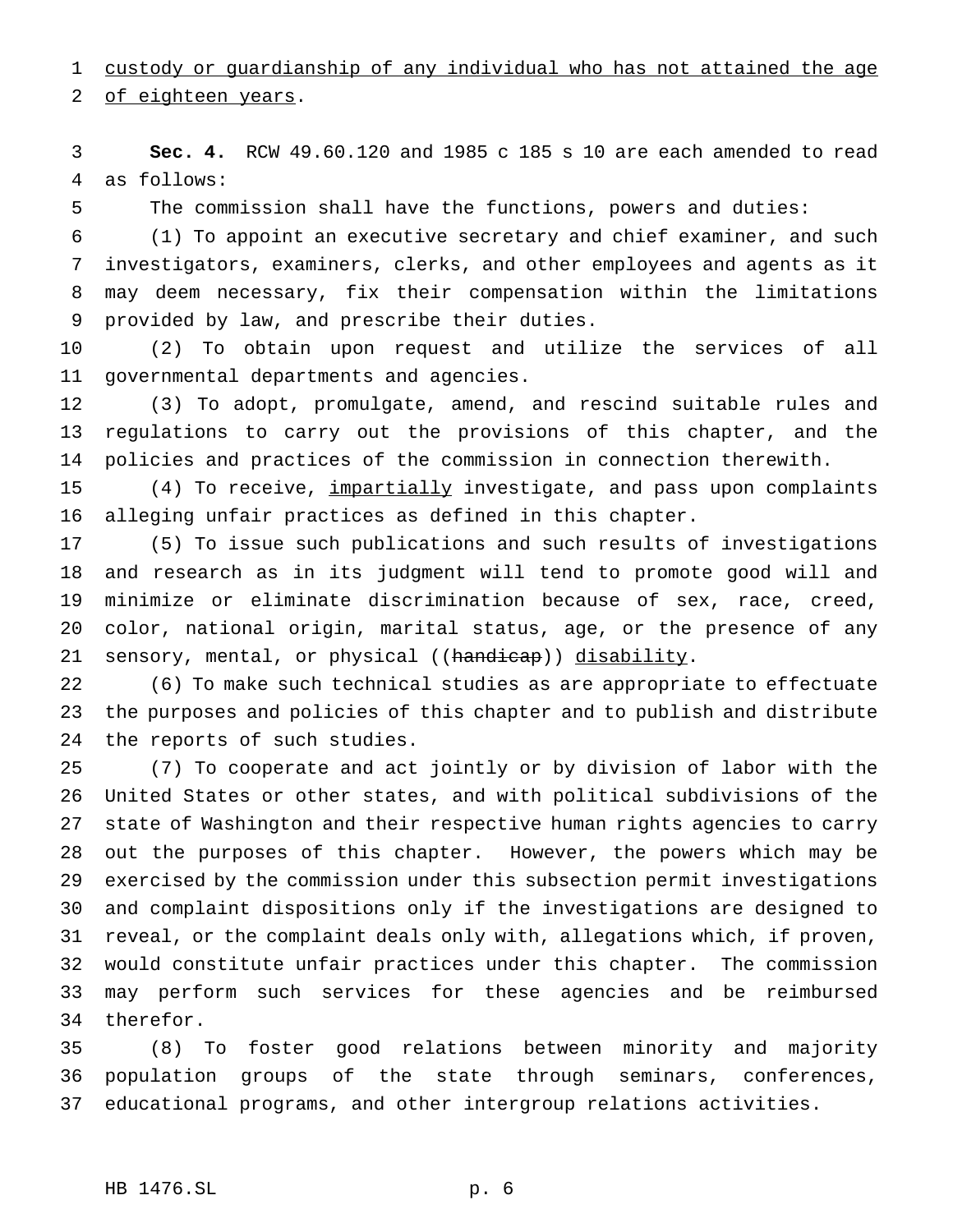custody or guardianship of any individual who has not attained the age

of eighteen years.

 **Sec. 4.** RCW 49.60.120 and 1985 c 185 s 10 are each amended to read as follows:

The commission shall have the functions, powers and duties:

 (1) To appoint an executive secretary and chief examiner, and such investigators, examiners, clerks, and other employees and agents as it may deem necessary, fix their compensation within the limitations provided by law, and prescribe their duties.

 (2) To obtain upon request and utilize the services of all governmental departments and agencies.

 (3) To adopt, promulgate, amend, and rescind suitable rules and regulations to carry out the provisions of this chapter, and the policies and practices of the commission in connection therewith.

 (4) To receive, impartially investigate, and pass upon complaints alleging unfair practices as defined in this chapter.

 (5) To issue such publications and such results of investigations and research as in its judgment will tend to promote good will and minimize or eliminate discrimination because of sex, race, creed, color, national origin, marital status, age, or the presence of any 21 sensory, mental, or physical ((handicap)) disability.

 (6) To make such technical studies as are appropriate to effectuate the purposes and policies of this chapter and to publish and distribute the reports of such studies.

 (7) To cooperate and act jointly or by division of labor with the United States or other states, and with political subdivisions of the state of Washington and their respective human rights agencies to carry out the purposes of this chapter. However, the powers which may be exercised by the commission under this subsection permit investigations and complaint dispositions only if the investigations are designed to reveal, or the complaint deals only with, allegations which, if proven, would constitute unfair practices under this chapter. The commission may perform such services for these agencies and be reimbursed therefor.

 (8) To foster good relations between minority and majority population groups of the state through seminars, conferences, educational programs, and other intergroup relations activities.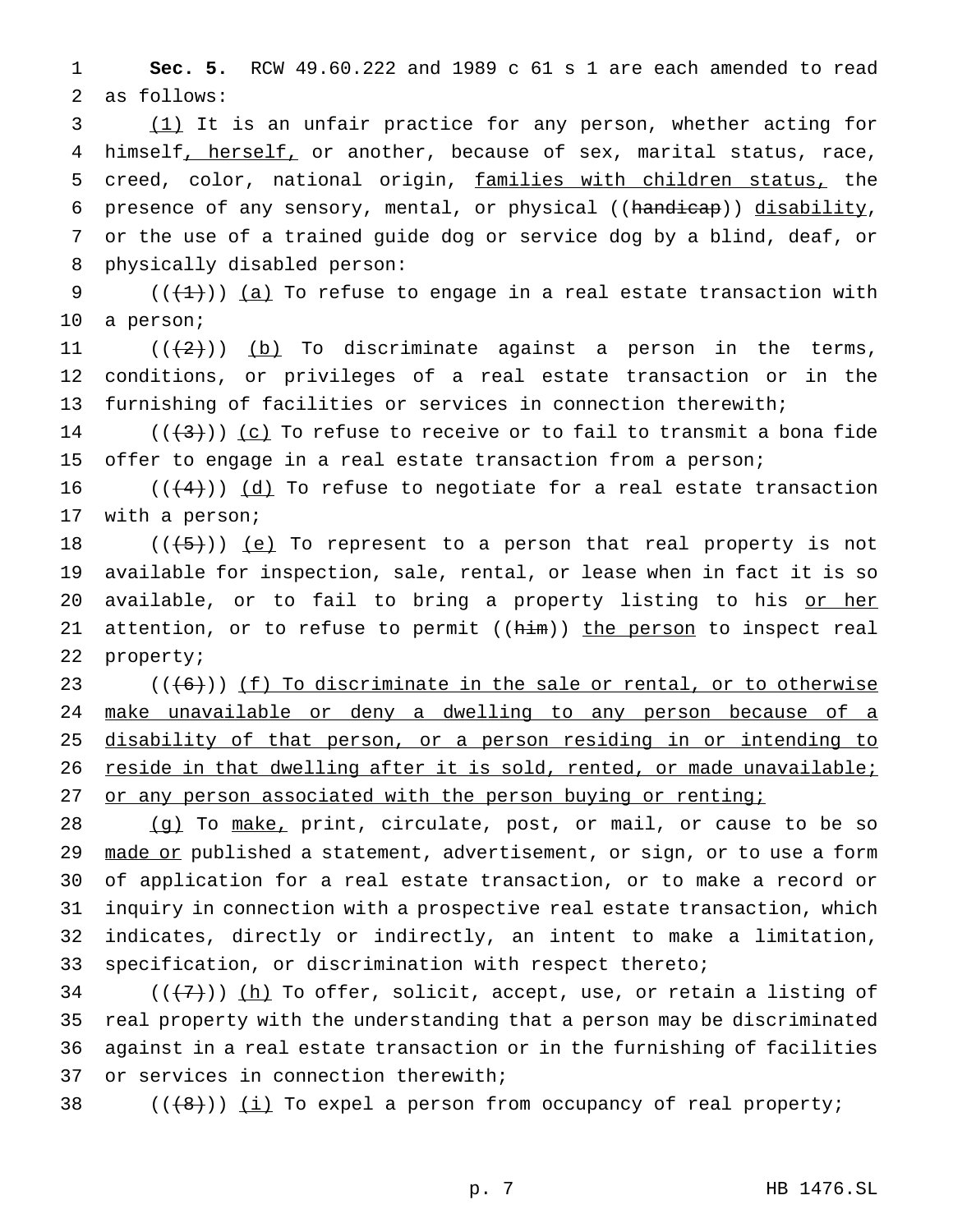**Sec. 5.** RCW 49.60.222 and 1989 c 61 s 1 are each amended to read as follows:

 (1) It is an unfair practice for any person, whether acting for 4 himself, herself, or another, because of sex, marital status, race, creed, color, national origin, families with children status, the presence of any sensory, mental, or physical ((handicap)) disability, or the use of a trained guide dog or service dog by a blind, deaf, or physically disabled person:

9  $((+1))$   $(a)$  To refuse to engage in a real estate transaction with a person;

11  $((+2+))$  (b) To discriminate against a person in the terms, conditions, or privileges of a real estate transaction or in the furnishing of facilities or services in connection therewith;

14 ( $(\frac{1}{3})$ ) (c) To refuse to receive or to fail to transmit a bona fide 15 offer to engage in a real estate transaction from a person;

 $((+4))$   $(d)$  To refuse to negotiate for a real estate transaction with a person;

 $((+5))$  (e) To represent to a person that real property is not available for inspection, sale, rental, or lease when in fact it is so 20 available, or to fail to bring a property listing to his or her 21 attention, or to refuse to permit ((him)) the person to inspect real property;

23  $((+6))$  (f) To discriminate in the sale or rental, or to otherwise make unavailable or deny a dwelling to any person because of a disability of that person, or a person residing in or intending to 26 reside in that dwelling after it is sold, rented, or made unavailable; 27 or any person associated with the person buying or renting;

28 (g) To make, print, circulate, post, or mail, or cause to be so 29 made or published a statement, advertisement, or sign, or to use a form of application for a real estate transaction, or to make a record or inquiry in connection with a prospective real estate transaction, which indicates, directly or indirectly, an intent to make a limitation, specification, or discrimination with respect thereto;

34 ( $(\overline{+7})$ ) (h) To offer, solicit, accept, use, or retain a listing of real property with the understanding that a person may be discriminated against in a real estate transaction or in the furnishing of facilities or services in connection therewith;

38  $((+8))$   $(i)$  To expel a person from occupancy of real property;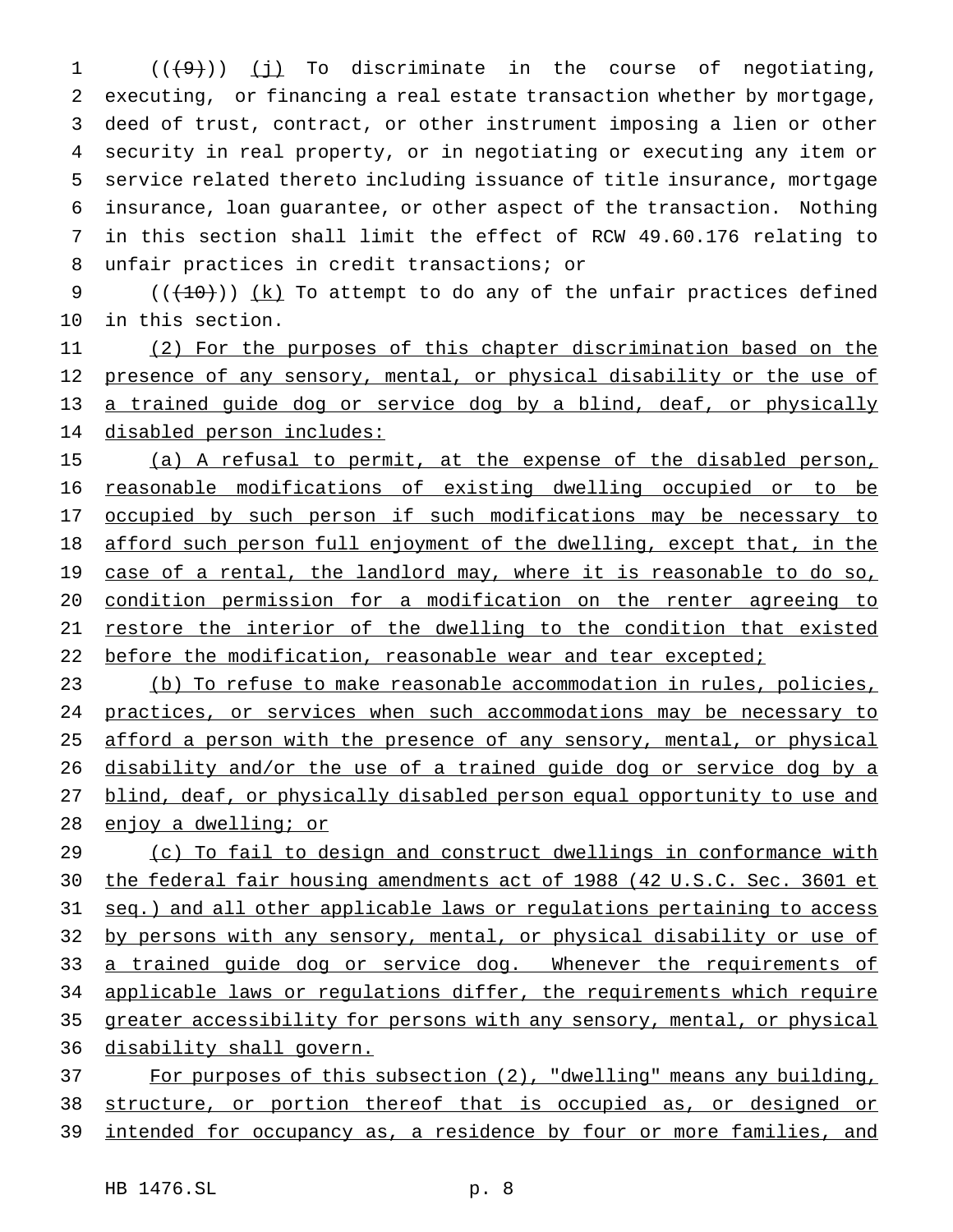$((+9))$   $(j)$  To discriminate in the course of negotiating, executing, or financing a real estate transaction whether by mortgage, deed of trust, contract, or other instrument imposing a lien or other security in real property, or in negotiating or executing any item or service related thereto including issuance of title insurance, mortgage insurance, loan guarantee, or other aspect of the transaction. Nothing in this section shall limit the effect of RCW 49.60.176 relating to unfair practices in credit transactions; or

9  $((+10))$   $(k)$  To attempt to do any of the unfair practices defined in this section.

 (2) For the purposes of this chapter discrimination based on the 12 presence of any sensory, mental, or physical disability or the use of 13 a trained guide dog or service dog by a blind, deaf, or physically disabled person includes:

15 (a) A refusal to permit, at the expense of the disabled person, reasonable modifications of existing dwelling occupied or to be 17 occupied by such person if such modifications may be necessary to afford such person full enjoyment of the dwelling, except that, in the 19 case of a rental, the landlord may, where it is reasonable to do so, condition permission for a modification on the renter agreeing to restore the interior of the dwelling to the condition that existed 22 before the modification, reasonable wear and tear excepted;

 (b) To refuse to make reasonable accommodation in rules, policies, practices, or services when such accommodations may be necessary to 25 afford a person with the presence of any sensory, mental, or physical 26 disability and/or the use of a trained guide dog or service dog by a blind, deaf, or physically disabled person equal opportunity to use and enjoy a dwelling; or

 (c) To fail to design and construct dwellings in conformance with the federal fair housing amendments act of 1988 (42 U.S.C. Sec. 3601 et seq.) and all other applicable laws or regulations pertaining to access 32 by persons with any sensory, mental, or physical disability or use of 33 a trained guide dog or service dog. Whenever the requirements of 34 applicable laws or regulations differ, the requirements which require greater accessibility for persons with any sensory, mental, or physical disability shall govern.

 For purposes of this subsection (2), "dwelling" means any building, structure, or portion thereof that is occupied as, or designed or intended for occupancy as, a residence by four or more families, and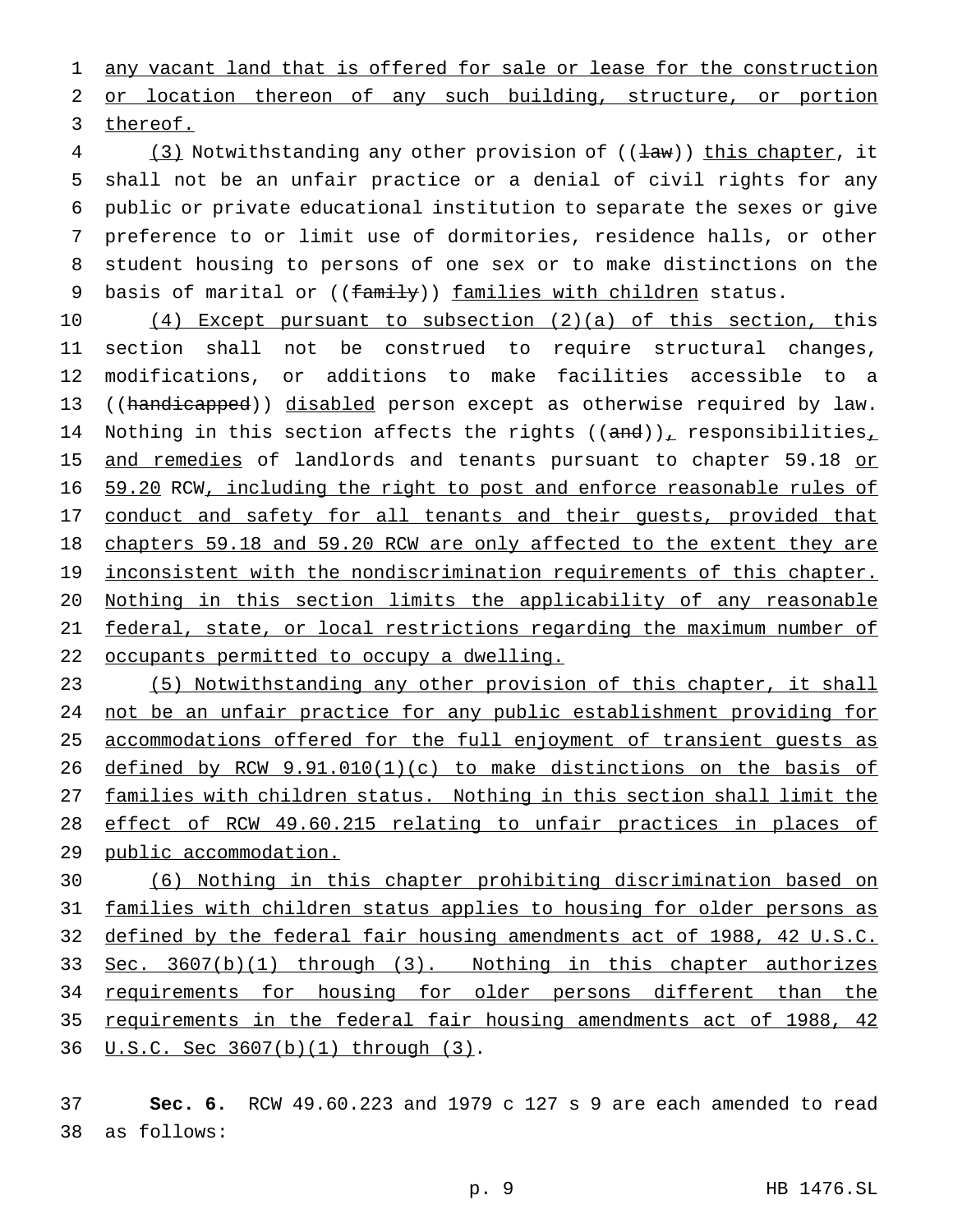any vacant land that is offered for sale or lease for the construction or location thereon of any such building, structure, or portion

thereof.

4 (3) Notwithstanding any other provision of (( $\frac{1}{2}$ w)) this chapter, it shall not be an unfair practice or a denial of civil rights for any public or private educational institution to separate the sexes or give preference to or limit use of dormitories, residence halls, or other student housing to persons of one sex or to make distinctions on the 9 basis of marital or ((family)) families with children status.

 (4) Except pursuant to subsection (2)(a) of this section, this section shall not be construed to require structural changes, modifications, or additions to make facilities accessible to a 13 ((handicapped)) disabled person except as otherwise required by law. 14 Nothing in this section affects the rights  $((and))_T$  responsibilities<sub> $T$ </sub> 15 and remedies of landlords and tenants pursuant to chapter 59.18 or 59.20 RCW, including the right to post and enforce reasonable rules of 17 conduct and safety for all tenants and their guests, provided that chapters 59.18 and 59.20 RCW are only affected to the extent they are 19 inconsistent with the nondiscrimination requirements of this chapter. Nothing in this section limits the applicability of any reasonable federal, state, or local restrictions regarding the maximum number of occupants permitted to occupy a dwelling.

 (5) Notwithstanding any other provision of this chapter, it shall not be an unfair practice for any public establishment providing for accommodations offered for the full enjoyment of transient guests as 26 defined by RCW  $9.91.010(1)(c)$  to make distinctions on the basis of families with children status. Nothing in this section shall limit the effect of RCW 49.60.215 relating to unfair practices in places of 29 public accommodation.

 (6) Nothing in this chapter prohibiting discrimination based on families with children status applies to housing for older persons as defined by the federal fair housing amendments act of 1988, 42 U.S.C. Sec. 3607(b)(1) through (3). Nothing in this chapter authorizes 34 requirements for housing for older persons different than the requirements in the federal fair housing amendments act of 1988, 42 U.S.C. Sec 3607(b)(1) through (3).

 **Sec. 6.** RCW 49.60.223 and 1979 c 127 s 9 are each amended to read as follows: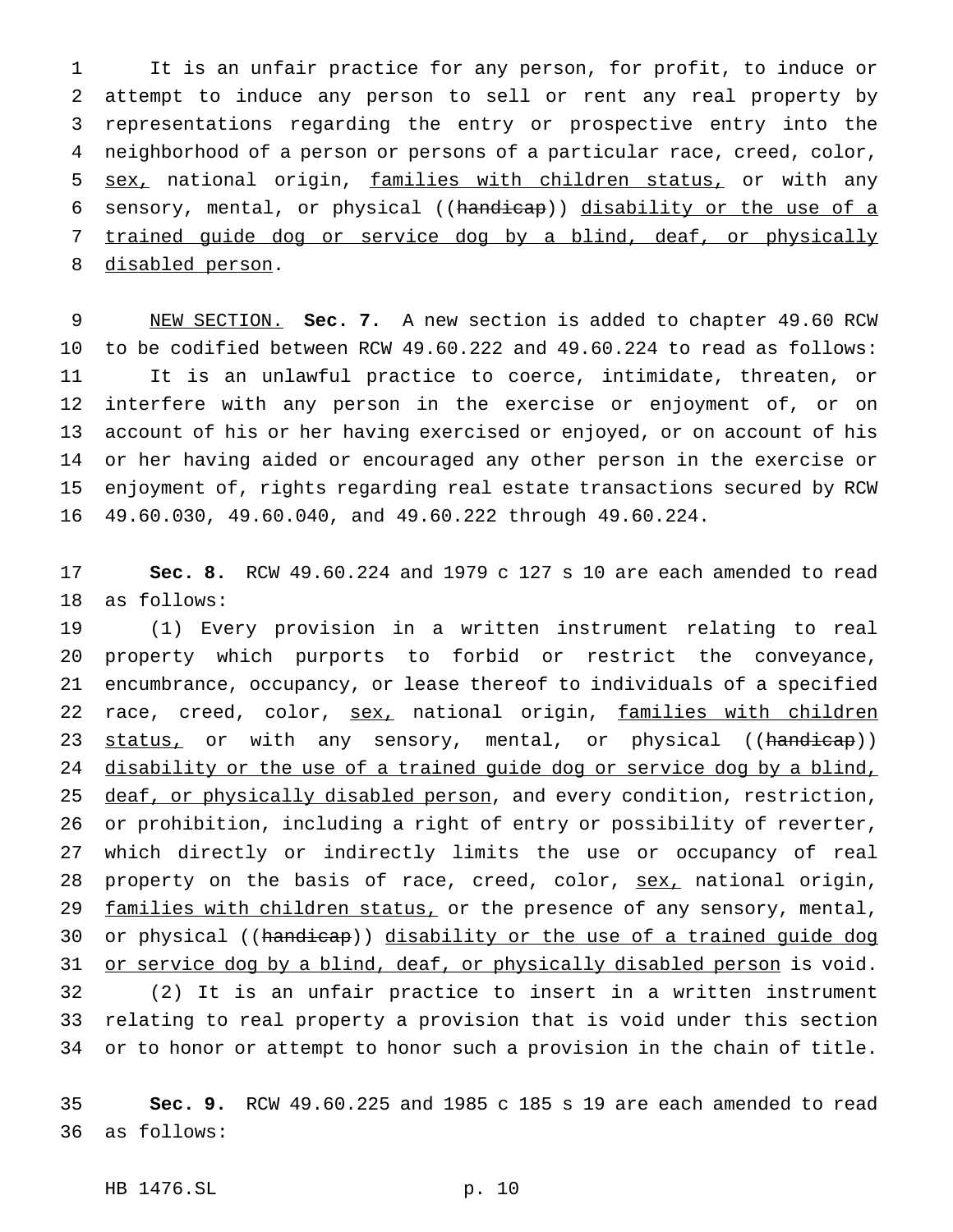It is an unfair practice for any person, for profit, to induce or attempt to induce any person to sell or rent any real property by representations regarding the entry or prospective entry into the neighborhood of a person or persons of a particular race, creed, color, sex, national origin, families with children status, or with any sensory, mental, or physical ((handicap)) disability or the use of a trained guide dog or service dog by a blind, deaf, or physically disabled person.

 NEW SECTION. **Sec. 7.** A new section is added to chapter 49.60 RCW to be codified between RCW 49.60.222 and 49.60.224 to read as follows: It is an unlawful practice to coerce, intimidate, threaten, or interfere with any person in the exercise or enjoyment of, or on account of his or her having exercised or enjoyed, or on account of his or her having aided or encouraged any other person in the exercise or enjoyment of, rights regarding real estate transactions secured by RCW 49.60.030, 49.60.040, and 49.60.222 through 49.60.224.

 **Sec. 8.** RCW 49.60.224 and 1979 c 127 s 10 are each amended to read as follows:

 (1) Every provision in a written instrument relating to real property which purports to forbid or restrict the conveyance, encumbrance, occupancy, or lease thereof to individuals of a specified 22 race, creed, color, sex, national origin, families with children 23 status, or with any sensory, mental, or physical ((handicap)) 24 disability or the use of a trained guide dog or service dog by a blind, 25 deaf, or physically disabled person, and every condition, restriction, or prohibition, including a right of entry or possibility of reverter, which directly or indirectly limits the use or occupancy of real 28 property on the basis of race, creed, color, sex, national origin, 29 families with children status, or the presence of any sensory, mental, 30 or physical ((handicap)) disability or the use of a trained guide dog 31 or service dog by a blind, deaf, or physically disabled person is void. (2) It is an unfair practice to insert in a written instrument relating to real property a provision that is void under this section or to honor or attempt to honor such a provision in the chain of title.

 **Sec. 9.** RCW 49.60.225 and 1985 c 185 s 19 are each amended to read as follows: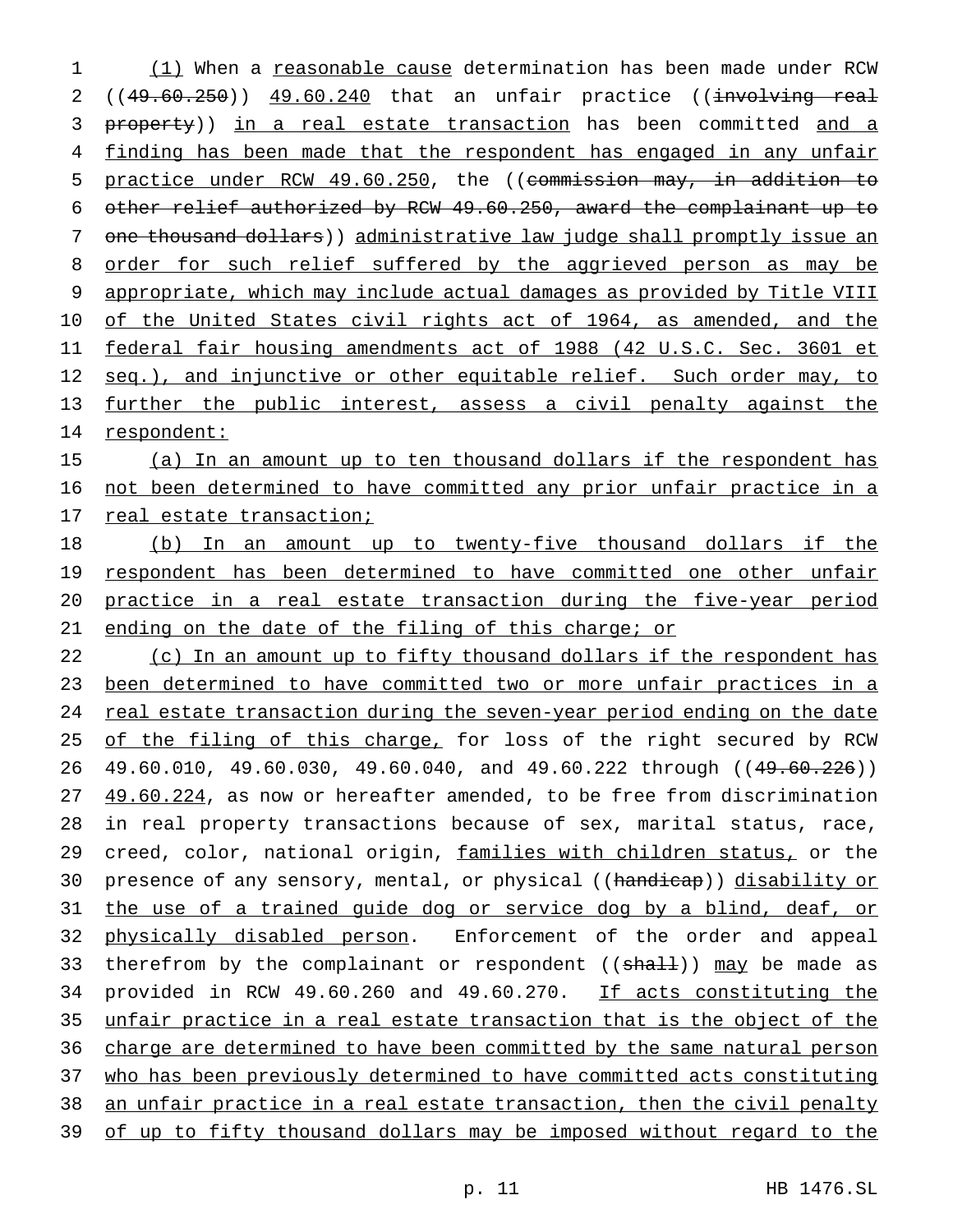1 (1) When a reasonable cause determination has been made under RCW 2 ((49.60.250)) 49.60.240 that an unfair practice ((involving real 3 property)) in a real estate transaction has been committed and a 4 finding has been made that the respondent has engaged in any unfair 5 practice under RCW 49.60.250, the ((commission may, in addition to 6 other relief authorized by RCW 49.60.250, award the complainant up to 7 one thousand dollars) administrative law judge shall promptly issue an 8 order for such relief suffered by the aggrieved person as may be 9 appropriate, which may include actual damages as provided by Title VIII 10 of the United States civil rights act of 1964, as amended, and the 11 federal fair housing amendments act of 1988 (42 U.S.C. Sec. 3601 et 12 seq.), and injunctive or other equitable relief. Such order may, to 13 further the public interest, assess a civil penalty against the 14 respondent:

15 (a) In an amount up to ten thousand dollars if the respondent has 16 not been determined to have committed any prior unfair practice in a 17 real estate transaction;

18 (b) In an amount up to twenty-five thousand dollars if the 19 respondent has been determined to have committed one other unfair 20 practice in a real estate transaction during the five-year period 21 ending on the date of the filing of this charge; or

22 (c) In an amount up to fifty thousand dollars if the respondent has 23 been determined to have committed two or more unfair practices in a 24 real estate transaction during the seven-year period ending on the date 25 of the filing of this charge, for loss of the right secured by RCW 26 49.60.010, 49.60.030, 49.60.040, and 49.60.222 through ((49.60.226)) 27 49.60.224, as now or hereafter amended, to be free from discrimination 28 in real property transactions because of sex, marital status, race, 29 creed, color, national origin, families with children status, or the 30 presence of any sensory, mental, or physical ((handicap)) disability or 31 the use of a trained guide dog or service dog by a blind, deaf, or 32 physically disabled person. Enforcement of the order and appeal 33 therefrom by the complainant or respondent ((shall)) may be made as 34 provided in RCW 49.60.260 and 49.60.270. If acts constituting the 35 unfair practice in a real estate transaction that is the object of the 36 charge are determined to have been committed by the same natural person 37 who has been previously determined to have committed acts constituting 38 an unfair practice in a real estate transaction, then the civil penalty 39 of up to fifty thousand dollars may be imposed without regard to the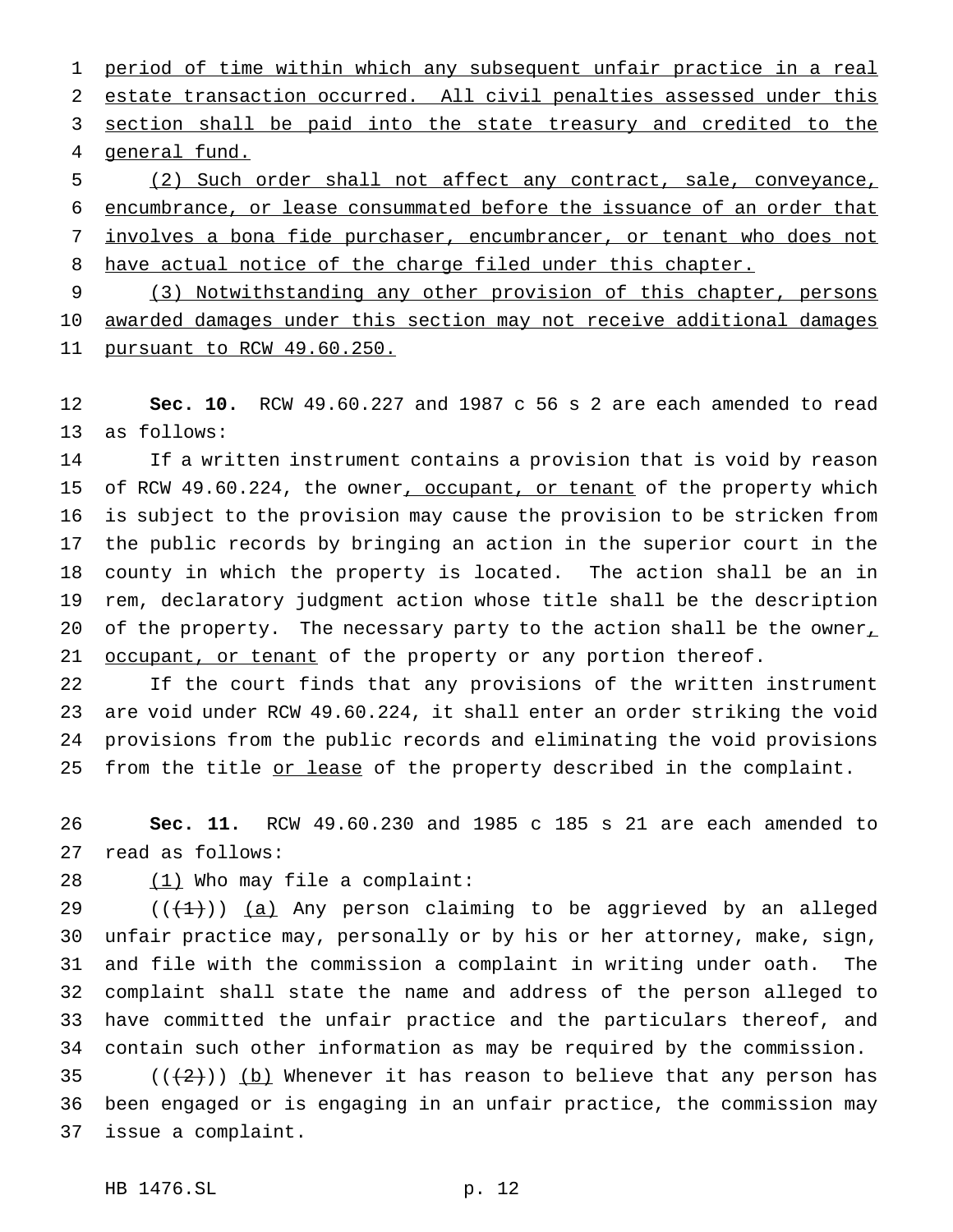period of time within which any subsequent unfair practice in a real estate transaction occurred. All civil penalties assessed under this 3 section shall be paid into the state treasury and credited to the general fund.

 (2) Such order shall not affect any contract, sale, conveyance, encumbrance, or lease consummated before the issuance of an order that involves a bona fide purchaser, encumbrancer, or tenant who does not 8 have actual notice of the charge filed under this chapter.

 (3) Notwithstanding any other provision of this chapter, persons awarded damages under this section may not receive additional damages pursuant to RCW 49.60.250.

 **Sec. 10.** RCW 49.60.227 and 1987 c 56 s 2 are each amended to read as follows:

 If a written instrument contains a provision that is void by reason 15 of RCW 49.60.224, the owner, occupant, or tenant of the property which is subject to the provision may cause the provision to be stricken from the public records by bringing an action in the superior court in the county in which the property is located. The action shall be an in rem, declaratory judgment action whose title shall be the description 20 of the property. The necessary party to the action shall be the owner, 21 <u>occupant, or tenant</u> of the property or any portion thereof.

 If the court finds that any provisions of the written instrument are void under RCW 49.60.224, it shall enter an order striking the void provisions from the public records and eliminating the void provisions 25 from the title or lease of the property described in the complaint.

 **Sec. 11.** RCW 49.60.230 and 1985 c 185 s 21 are each amended to read as follows:

28 (1) Who may file a complaint:

 $((+1))$   $(a)$  Any person claiming to be aggrieved by an alleged unfair practice may, personally or by his or her attorney, make, sign, and file with the commission a complaint in writing under oath. The complaint shall state the name and address of the person alleged to have committed the unfair practice and the particulars thereof, and contain such other information as may be required by the commission.

35  $((+2))$  (b) Whenever it has reason to believe that any person has been engaged or is engaging in an unfair practice, the commission may issue a complaint.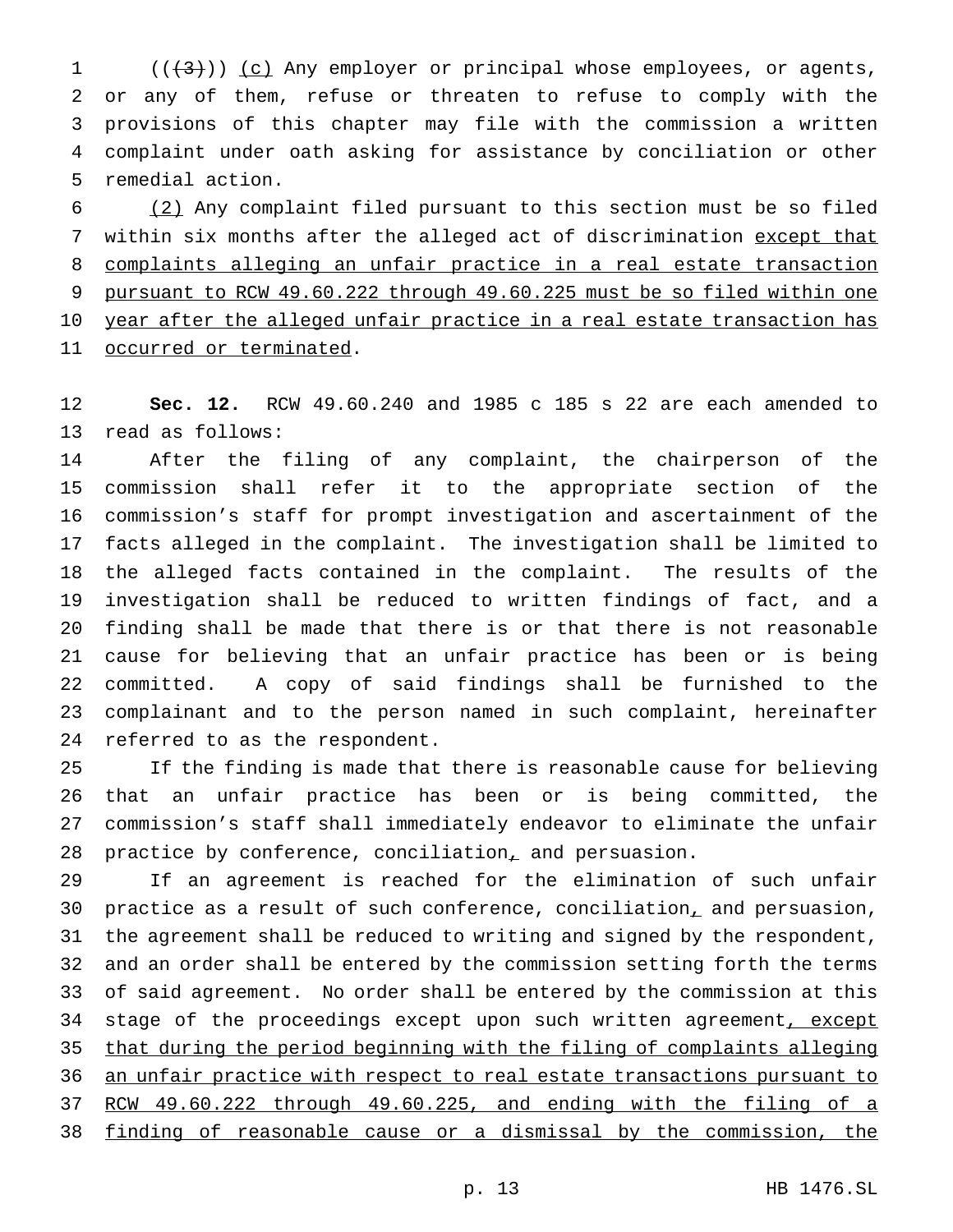(( $\left(\frac{4}{3}\right)$ )) (c) Any employer or principal whose employees, or agents, or any of them, refuse or threaten to refuse to comply with the provisions of this chapter may file with the commission a written complaint under oath asking for assistance by conciliation or other remedial action.

 (2) Any complaint filed pursuant to this section must be so filed 7 within six months after the alleged act of discrimination except that complaints alleging an unfair practice in a real estate transaction pursuant to RCW 49.60.222 through 49.60.225 must be so filed within one year after the alleged unfair practice in a real estate transaction has occurred or terminated.

 **Sec. 12.** RCW 49.60.240 and 1985 c 185 s 22 are each amended to read as follows:

 After the filing of any complaint, the chairperson of the commission shall refer it to the appropriate section of the commission's staff for prompt investigation and ascertainment of the facts alleged in the complaint. The investigation shall be limited to the alleged facts contained in the complaint. The results of the investigation shall be reduced to written findings of fact, and a finding shall be made that there is or that there is not reasonable cause for believing that an unfair practice has been or is being committed. A copy of said findings shall be furnished to the complainant and to the person named in such complaint, hereinafter referred to as the respondent.

 If the finding is made that there is reasonable cause for believing that an unfair practice has been or is being committed, the commission's staff shall immediately endeavor to eliminate the unfair practice by conference, conciliation, and persuasion.

 If an agreement is reached for the elimination of such unfair practice as a result of such conference, conciliation, and persuasion, the agreement shall be reduced to writing and signed by the respondent, and an order shall be entered by the commission setting forth the terms of said agreement. No order shall be entered by the commission at this 34 stage of the proceedings except upon such written agreement, except that during the period beginning with the filing of complaints alleging an unfair practice with respect to real estate transactions pursuant to RCW 49.60.222 through 49.60.225, and ending with the filing of a finding of reasonable cause or a dismissal by the commission, the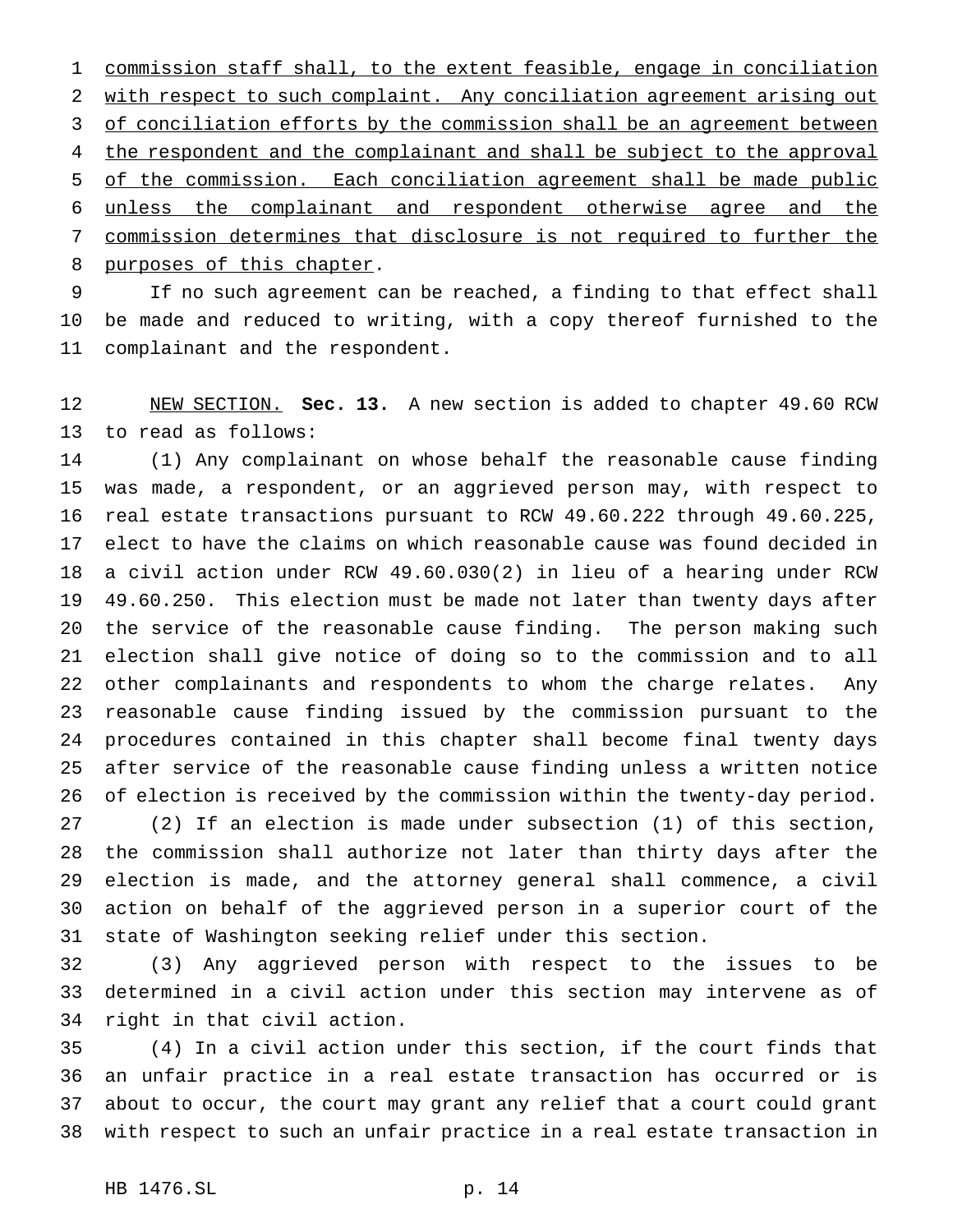commission staff shall, to the extent feasible, engage in conciliation with respect to such complaint. Any conciliation agreement arising out 3 of conciliation efforts by the commission shall be an agreement between 4 the respondent and the complainant and shall be subject to the approval of the commission. Each conciliation agreement shall be made public unless the complainant and respondent otherwise agree and the commission determines that disclosure is not required to further the 8 purposes of this chapter.

 If no such agreement can be reached, a finding to that effect shall be made and reduced to writing, with a copy thereof furnished to the complainant and the respondent.

 NEW SECTION. **Sec. 13.** A new section is added to chapter 49.60 RCW to read as follows:

 (1) Any complainant on whose behalf the reasonable cause finding was made, a respondent, or an aggrieved person may, with respect to real estate transactions pursuant to RCW 49.60.222 through 49.60.225, elect to have the claims on which reasonable cause was found decided in a civil action under RCW 49.60.030(2) in lieu of a hearing under RCW 49.60.250. This election must be made not later than twenty days after the service of the reasonable cause finding. The person making such election shall give notice of doing so to the commission and to all other complainants and respondents to whom the charge relates. Any reasonable cause finding issued by the commission pursuant to the procedures contained in this chapter shall become final twenty days after service of the reasonable cause finding unless a written notice of election is received by the commission within the twenty-day period.

 (2) If an election is made under subsection (1) of this section, the commission shall authorize not later than thirty days after the election is made, and the attorney general shall commence, a civil action on behalf of the aggrieved person in a superior court of the state of Washington seeking relief under this section.

 (3) Any aggrieved person with respect to the issues to be determined in a civil action under this section may intervene as of right in that civil action.

 (4) In a civil action under this section, if the court finds that an unfair practice in a real estate transaction has occurred or is about to occur, the court may grant any relief that a court could grant with respect to such an unfair practice in a real estate transaction in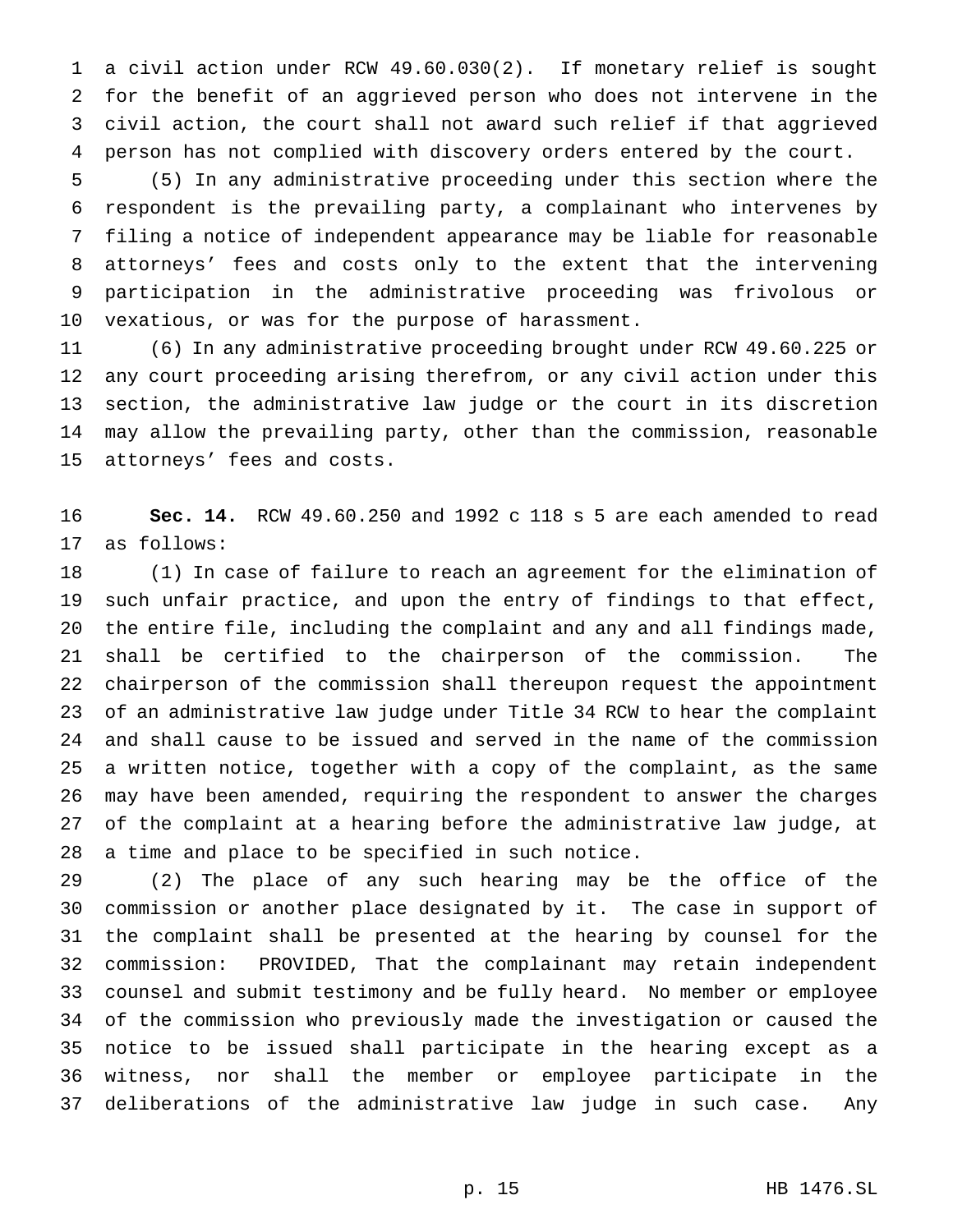a civil action under RCW 49.60.030(2). If monetary relief is sought for the benefit of an aggrieved person who does not intervene in the civil action, the court shall not award such relief if that aggrieved person has not complied with discovery orders entered by the court.

 (5) In any administrative proceeding under this section where the respondent is the prevailing party, a complainant who intervenes by filing a notice of independent appearance may be liable for reasonable attorneys' fees and costs only to the extent that the intervening participation in the administrative proceeding was frivolous or vexatious, or was for the purpose of harassment.

 (6) In any administrative proceeding brought under RCW 49.60.225 or any court proceeding arising therefrom, or any civil action under this section, the administrative law judge or the court in its discretion may allow the prevailing party, other than the commission, reasonable attorneys' fees and costs.

 **Sec. 14.** RCW 49.60.250 and 1992 c 118 s 5 are each amended to read as follows:

 (1) In case of failure to reach an agreement for the elimination of such unfair practice, and upon the entry of findings to that effect, the entire file, including the complaint and any and all findings made, shall be certified to the chairperson of the commission. The chairperson of the commission shall thereupon request the appointment of an administrative law judge under Title 34 RCW to hear the complaint and shall cause to be issued and served in the name of the commission a written notice, together with a copy of the complaint, as the same may have been amended, requiring the respondent to answer the charges of the complaint at a hearing before the administrative law judge, at a time and place to be specified in such notice.

 (2) The place of any such hearing may be the office of the commission or another place designated by it. The case in support of the complaint shall be presented at the hearing by counsel for the commission: PROVIDED, That the complainant may retain independent counsel and submit testimony and be fully heard. No member or employee of the commission who previously made the investigation or caused the notice to be issued shall participate in the hearing except as a witness, nor shall the member or employee participate in the deliberations of the administrative law judge in such case. Any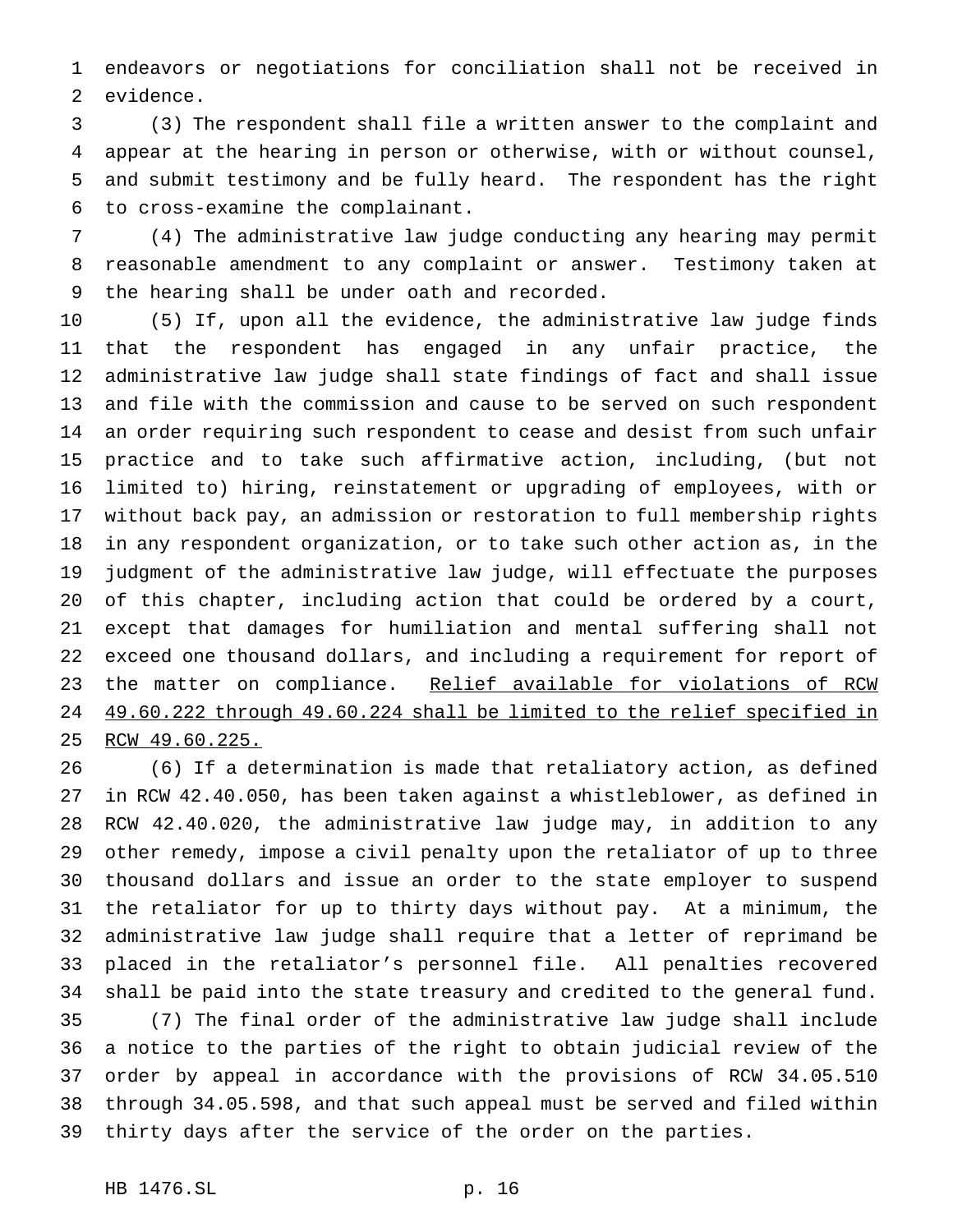endeavors or negotiations for conciliation shall not be received in evidence.

 (3) The respondent shall file a written answer to the complaint and appear at the hearing in person or otherwise, with or without counsel, and submit testimony and be fully heard. The respondent has the right to cross-examine the complainant.

 (4) The administrative law judge conducting any hearing may permit reasonable amendment to any complaint or answer. Testimony taken at the hearing shall be under oath and recorded.

 (5) If, upon all the evidence, the administrative law judge finds that the respondent has engaged in any unfair practice, the administrative law judge shall state findings of fact and shall issue and file with the commission and cause to be served on such respondent an order requiring such respondent to cease and desist from such unfair practice and to take such affirmative action, including, (but not limited to) hiring, reinstatement or upgrading of employees, with or without back pay, an admission or restoration to full membership rights in any respondent organization, or to take such other action as, in the judgment of the administrative law judge, will effectuate the purposes of this chapter, including action that could be ordered by a court, except that damages for humiliation and mental suffering shall not exceed one thousand dollars, and including a requirement for report of 23 the matter on compliance. Relief available for violations of RCW 49.60.222 through 49.60.224 shall be limited to the relief specified in RCW 49.60.225.

 (6) If a determination is made that retaliatory action, as defined in RCW 42.40.050, has been taken against a whistleblower, as defined in RCW 42.40.020, the administrative law judge may, in addition to any other remedy, impose a civil penalty upon the retaliator of up to three thousand dollars and issue an order to the state employer to suspend the retaliator for up to thirty days without pay. At a minimum, the administrative law judge shall require that a letter of reprimand be placed in the retaliator's personnel file. All penalties recovered shall be paid into the state treasury and credited to the general fund. (7) The final order of the administrative law judge shall include a notice to the parties of the right to obtain judicial review of the order by appeal in accordance with the provisions of RCW 34.05.510 through 34.05.598, and that such appeal must be served and filed within thirty days after the service of the order on the parties.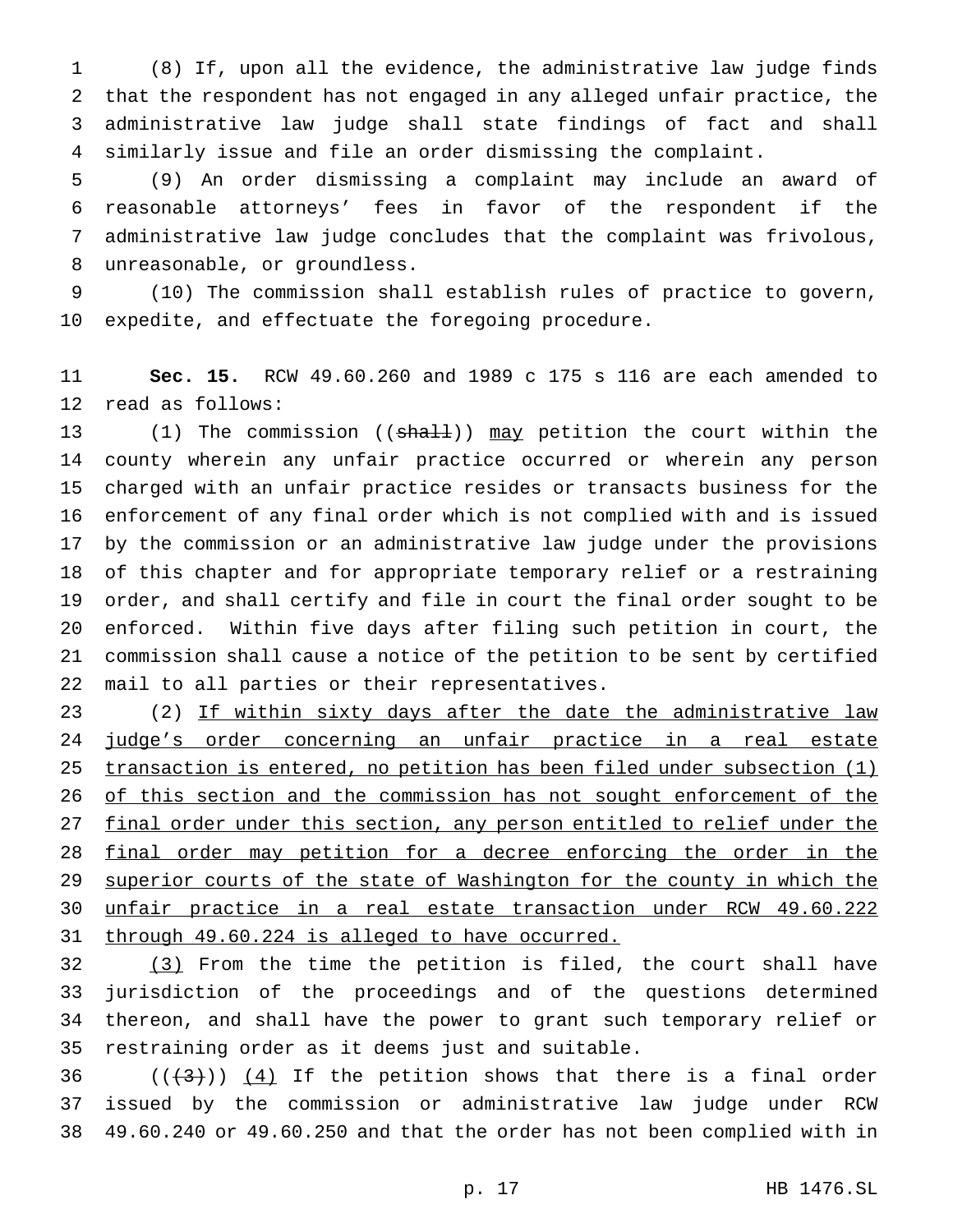(8) If, upon all the evidence, the administrative law judge finds that the respondent has not engaged in any alleged unfair practice, the administrative law judge shall state findings of fact and shall similarly issue and file an order dismissing the complaint.

 (9) An order dismissing a complaint may include an award of reasonable attorneys' fees in favor of the respondent if the administrative law judge concludes that the complaint was frivolous, unreasonable, or groundless.

 (10) The commission shall establish rules of practice to govern, expedite, and effectuate the foregoing procedure.

 **Sec. 15.** RCW 49.60.260 and 1989 c 175 s 116 are each amended to read as follows:

13 (1) The commission ((shall)) may petition the court within the county wherein any unfair practice occurred or wherein any person charged with an unfair practice resides or transacts business for the enforcement of any final order which is not complied with and is issued by the commission or an administrative law judge under the provisions of this chapter and for appropriate temporary relief or a restraining order, and shall certify and file in court the final order sought to be enforced. Within five days after filing such petition in court, the commission shall cause a notice of the petition to be sent by certified mail to all parties or their representatives.

23 (2) If within sixty days after the date the administrative law judge's order concerning an unfair practice in a real estate transaction is entered, no petition has been filed under subsection (1) 26 of this section and the commission has not sought enforcement of the 27 final order under this section, any person entitled to relief under the 28 final order may petition for a decree enforcing the order in the 29 superior courts of the state of Washington for the county in which the unfair practice in a real estate transaction under RCW 49.60.222 through 49.60.224 is alleged to have occurred.

 (3) From the time the petition is filed, the court shall have jurisdiction of the proceedings and of the questions determined thereon, and shall have the power to grant such temporary relief or restraining order as it deems just and suitable.

36  $((+3))$   $(4)$  If the petition shows that there is a final order issued by the commission or administrative law judge under RCW 49.60.240 or 49.60.250 and that the order has not been complied with in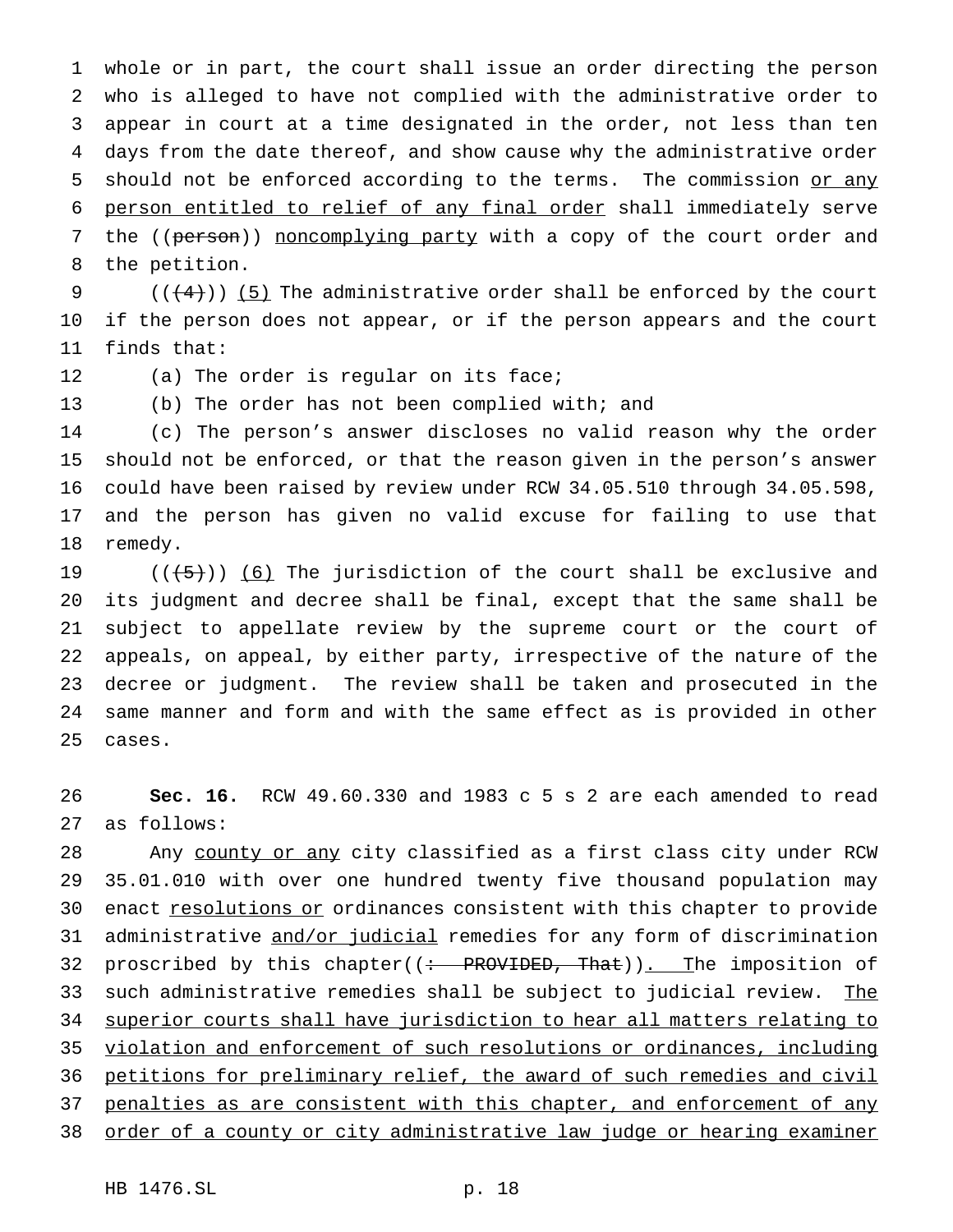whole or in part, the court shall issue an order directing the person who is alleged to have not complied with the administrative order to appear in court at a time designated in the order, not less than ten days from the date thereof, and show cause why the administrative order 5 should not be enforced according to the terms. The commission or any person entitled to relief of any final order shall immediately serve 7 the ((person)) noncomplying party with a copy of the court order and the petition.

9  $((+4))$  (5) The administrative order shall be enforced by the court if the person does not appear, or if the person appears and the court finds that:

12 (a) The order is regular on its face;

(b) The order has not been complied with; and

 (c) The person's answer discloses no valid reason why the order should not be enforced, or that the reason given in the person's answer could have been raised by review under RCW 34.05.510 through 34.05.598, and the person has given no valid excuse for failing to use that remedy.

 $((+5))$   $(6)$  The jurisdiction of the court shall be exclusive and its judgment and decree shall be final, except that the same shall be subject to appellate review by the supreme court or the court of appeals, on appeal, by either party, irrespective of the nature of the decree or judgment. The review shall be taken and prosecuted in the same manner and form and with the same effect as is provided in other cases.

 **Sec. 16.** RCW 49.60.330 and 1983 c 5 s 2 are each amended to read as follows:

28 Any county or any city classified as a first class city under RCW 35.01.010 with over one hundred twenty five thousand population may 30 enact resolutions or ordinances consistent with this chapter to provide administrative and/or judicial remedies for any form of discrimination 32 proscribed by this chapter( $($ : PROVIDED, That)). The imposition of 33 such administrative remedies shall be subject to judicial review. The superior courts shall have jurisdiction to hear all matters relating to violation and enforcement of such resolutions or ordinances, including petitions for preliminary relief, the award of such remedies and civil penalties as are consistent with this chapter, and enforcement of any order of a county or city administrative law judge or hearing examiner